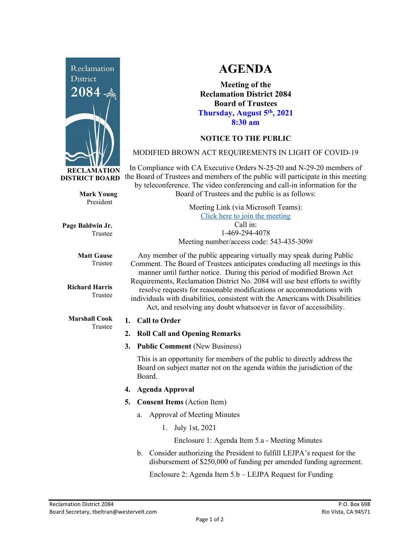

**RECLAMATION DISTRICT BOARD**

> **Mark Young** President

**Page Baldwin Jr.** Trustee

> **Matt Gause** Trustee

**Richard Harris** Trustee

**Marshall Cook** Trustee

# **AGENDA**

**Meeting of the Reclamation District 2084 Board of Trustees Thursday, August 5th, 2021 8:30 am**

## **NOTICE TO THE PUBLIC**

## MODIFIED BROWN ACT REQUIREMENTS IN LIGHT OF COVID-19

In Compliance with CA Executive Orders N-25-20 and N-29-20 members of the Board of Trustees and members of the public will participate in this meeting by teleconference. The video conferencing and call-in information for the Board of Trustees and the public is as follows:

> Meeting Link (via Microsoft Teams): [Click here to join the meeting](https://teams.microsoft.com/l/meetup-join/19%3ameeting_Y2UyNWRiYzQtYWY2Mi00MTlhLWI0NDQtMjUzYzk0OWU0NGFi%40thread.v2/0?context=%7b%22Tid%22%3a%22f9038203-c87c-4f0e-b326-970a381acd40%22%2c%22Oid%22%3a%22b6a515a8-4d0a-410e-b81a-1dc60ae8c01d%22%7d) Call in: 1-469-294-4078 Meeting number/access code: 543-435-309#

Any member of the public appearing virtually may speak during Public Comment. The Board of Trustees anticipates conducting all meetings in this manner until further notice. During this period of modified Brown Act Requirements, Reclamation District No. 2084 will use best efforts to swiftly resolve requests for reasonable modifications or accommodations with individuals with disabilities, consistent with the Americans with Disabilities Act, and resolving any doubt whatsoever in favor of accessibility.

### **1. Call to Order**

- **2. Roll Call and Opening Remarks**
- **3. Public Comment** (New Business)

This is an opportunity for members of the public to directly address the Board on subject matter not on the agenda within the jurisdiction of the Board.

- **4. Agenda Approval**
- **5. Consent Items** (Action Item)
	- a. Approval of Meeting Minutes
		- 1. July 1st, 2021

Enclosure 1: Agenda Item 5.a - Meeting Minutes

b. Consider authorizing the President to fulfill LEJPA's request for the disbursement of \$250,000 of funding per amended funding agreement.

Enclosure 2: Agenda Item 5.b – LEJPA Request for Funding